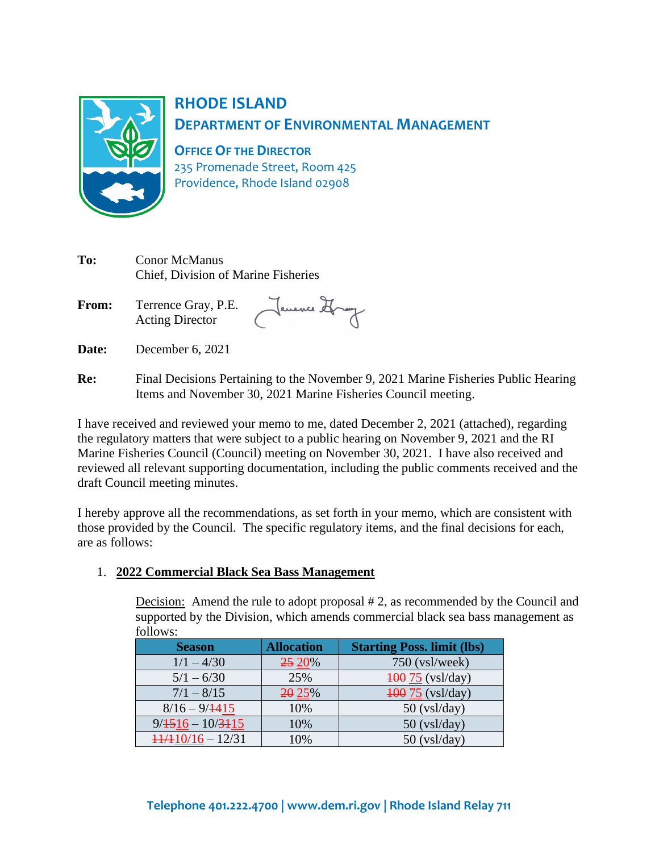

# **RHODE ISLAND DEPARTMENT OF ENVIRONMENTAL MANAGEMENT**

**OFFICE OF THE DIRECTOR**

235 Promenade Street, Room 425 Providence, Rhode Island 02908

| To:          | <b>Conor McManus</b><br>Chief, Division of Marine Fisheries |              |  |  |
|--------------|-------------------------------------------------------------|--------------|--|--|
| <b>From:</b> | Terrence Gray, P.E.<br><b>Acting Director</b>               | Jenence Shay |  |  |

- **Date:** December 6, 2021
- **Re:** Final Decisions Pertaining to the November 9, 2021 Marine Fisheries Public Hearing Items and November 30, 2021 Marine Fisheries Council meeting.

I have received and reviewed your memo to me, dated December 2, 2021 (attached), regarding the regulatory matters that were subject to a public hearing on November 9, 2021 and the RI Marine Fisheries Council (Council) meeting on November 30, 2021. I have also received and reviewed all relevant supporting documentation, including the public comments received and the draft Council meeting minutes.

I hereby approve all the recommendations, as set forth in your memo, which are consistent with those provided by the Council. The specific regulatory items, and the final decisions for each, are as follows:

### 1. **2022 Commercial Black Sea Bass Management**

Decision: Amend the rule to adopt proposal # 2, as recommended by the Council and supported by the Division, which amends commercial black sea bass management as follows:

| <b>Season</b>                  | <b>Allocation</b> | <b>Starting Poss. limit (lbs)</b> |
|--------------------------------|-------------------|-----------------------------------|
| $1/1 - 4/30$                   | 25 20%            | 750 (vsl/week)                    |
| $5/1 - 6/30$                   | 25%               | $\frac{100}{75}$ (vsl/day)        |
| $7/1 - 8/15$                   | 20 25%            | $\frac{100}{75}$ (vsl/day)        |
| $8/16 - 9/1415$                | 10%               | $50$ (vsl/day)                    |
| $9/4516 - 10/3115$             | 10%               | $50$ (vsl/day)                    |
| $\frac{11}{110}$ 10/16 - 12/31 | 10%               | $50$ (vsl/day)                    |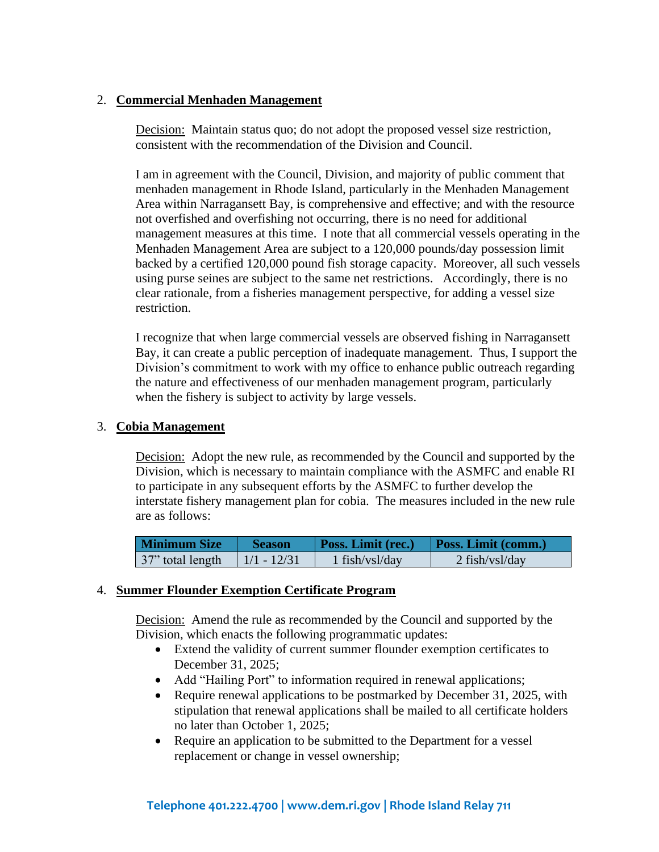#### 2. **Commercial Menhaden Management**

Decision: Maintain status quo; do not adopt the proposed vessel size restriction, consistent with the recommendation of the Division and Council.

I am in agreement with the Council, Division, and majority of public comment that menhaden management in Rhode Island, particularly in the Menhaden Management Area within Narragansett Bay, is comprehensive and effective; and with the resource not overfished and overfishing not occurring, there is no need for additional management measures at this time. I note that all commercial vessels operating in the Menhaden Management Area are subject to a 120,000 pounds/day possession limit backed by a certified 120,000 pound fish storage capacity. Moreover, all such vessels using purse seines are subject to the same net restrictions. Accordingly, there is no clear rationale, from a fisheries management perspective, for adding a vessel size restriction.

I recognize that when large commercial vessels are observed fishing in Narragansett Bay, it can create a public perception of inadequate management. Thus, I support the Division's commitment to work with my office to enhance public outreach regarding the nature and effectiveness of our menhaden management program, particularly when the fishery is subject to activity by large vessels.

#### 3. **Cobia Management**

Decision: Adopt the new rule, as recommended by the Council and supported by the Division, which is necessary to maintain compliance with the ASMFC and enable RI to participate in any subsequent efforts by the ASMFC to further develop the interstate fishery management plan for cobia. The measures included in the new rule are as follows:

| Minimum Size     | <b>Season</b> | <b>Poss. Limit (rec.)</b> | <b>Poss. Limit (comm.)</b> |
|------------------|---------------|---------------------------|----------------------------|
| 37" total length | $1/1 - 12/31$ | $1$ fish/vsl/day          | $2$ fish/vsl/day           |

#### 4. **Summer Flounder Exemption Certificate Program**

Decision: Amend the rule as recommended by the Council and supported by the Division, which enacts the following programmatic updates:

- Extend the validity of current summer flounder exemption certificates to December 31, 2025;
- Add "Hailing Port" to information required in renewal applications;
- Require renewal applications to be postmarked by December 31, 2025, with stipulation that renewal applications shall be mailed to all certificate holders no later than October 1, 2025;
- Require an application to be submitted to the Department for a vessel replacement or change in vessel ownership;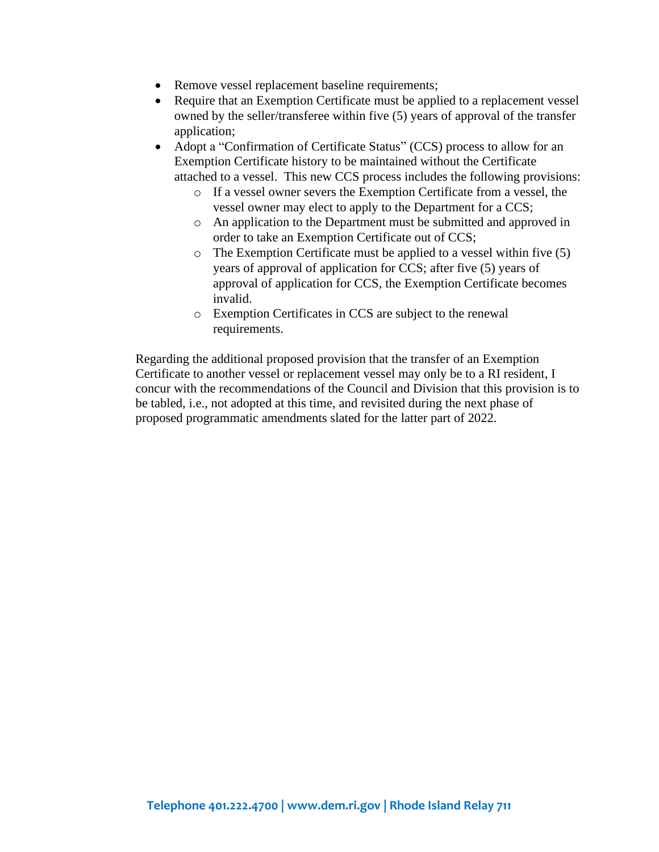- Remove vessel replacement baseline requirements;
- Require that an Exemption Certificate must be applied to a replacement vessel owned by the seller/transferee within five (5) years of approval of the transfer application;
- Adopt a "Confirmation of Certificate Status" (CCS) process to allow for an Exemption Certificate history to be maintained without the Certificate attached to a vessel. This new CCS process includes the following provisions:
	- o If a vessel owner severs the Exemption Certificate from a vessel, the vessel owner may elect to apply to the Department for a CCS;
	- o An application to the Department must be submitted and approved in order to take an Exemption Certificate out of CCS;
	- o The Exemption Certificate must be applied to a vessel within five (5) years of approval of application for CCS; after five (5) years of approval of application for CCS, the Exemption Certificate becomes invalid.
	- o Exemption Certificates in CCS are subject to the renewal requirements.

Regarding the additional proposed provision that the transfer of an Exemption Certificate to another vessel or replacement vessel may only be to a RI resident, I concur with the recommendations of the Council and Division that this provision is to be tabled, i.e., not adopted at this time, and revisited during the next phase of proposed programmatic amendments slated for the latter part of 2022.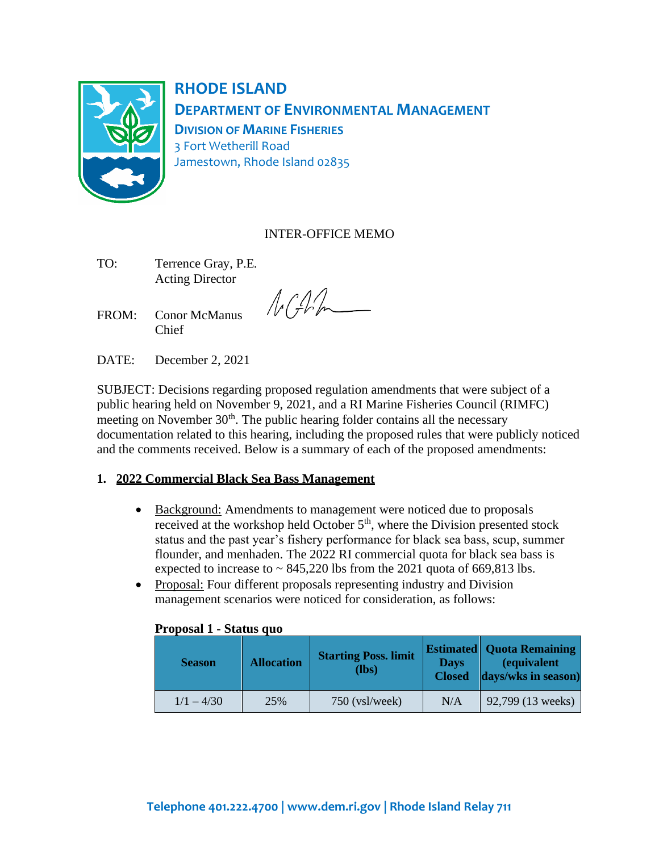

**RHODE ISLAND DEPARTMENT OF ENVIRONMENTAL MANAGEMENT DIVISION OF MARINE FISHERIES** 3 Fort Wetherill Road Jamestown, Rhode Island 02835

### INTER-OFFICE MEMO

- TO: Terrence Gray, P.E. Acting Director
- FROM: Conor McManus Chief

 $\sqrt{\sqrt{f}}$ 

DATE: December 2, 2021

SUBJECT: Decisions regarding proposed regulation amendments that were subject of a public hearing held on November 9, 2021, and a RI Marine Fisheries Council (RIMFC) meeting on November  $30<sup>th</sup>$ . The public hearing folder contains all the necessary documentation related to this hearing, including the proposed rules that were publicly noticed and the comments received. Below is a summary of each of the proposed amendments:

### **1. 2022 Commercial Black Sea Bass Management**

- Background: Amendments to management were noticed due to proposals received at the workshop held October 5<sup>th</sup>, where the Division presented stock status and the past year's fishery performance for black sea bass, scup, summer flounder, and menhaden. The 2022 RI commercial quota for black sea bass is expected to increase to  $\sim 845,220$  lbs from the 2021 quota of 669,813 lbs.
- Proposal: Four different proposals representing industry and Division management scenarios were noticed for consideration, as follows:

| <b>Season</b> | <b>Allocation</b> | <b>Starting Poss. limit</b><br>$(lbs)$ | <b>Days</b><br><b>Closed</b> | <b>Estimated   Quota Remaining</b><br><i>(equivalent</i><br>days/wks in season) |
|---------------|-------------------|----------------------------------------|------------------------------|---------------------------------------------------------------------------------|
| $1/1 - 4/30$  | 25%               | $750$ (vsl/week)                       | N/A                          | 92,799 (13 weeks)                                                               |

#### **Proposal 1 - Status quo**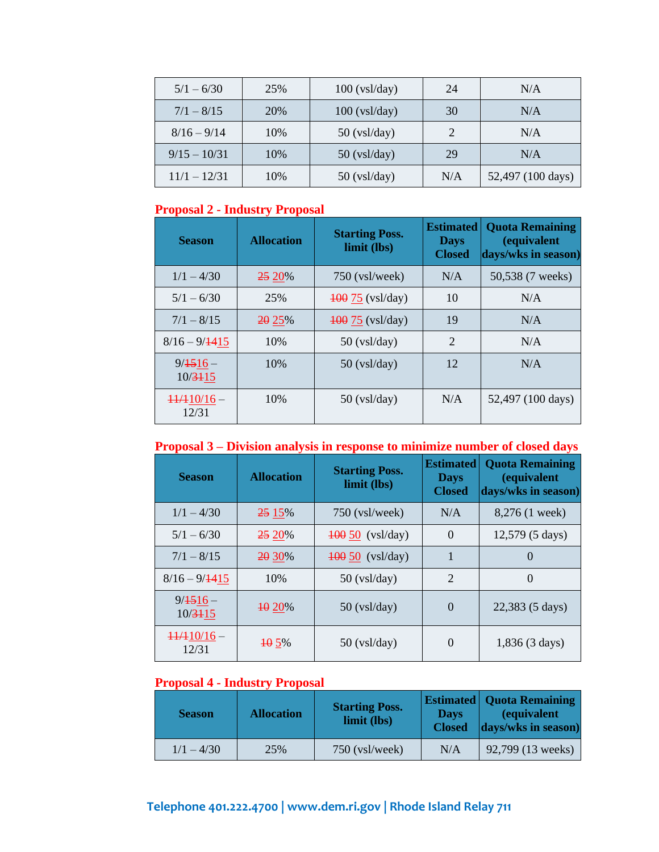| $5/1 - 6/30$   | 25% | $100$ (vsl/day) | 24  | N/A               |
|----------------|-----|-----------------|-----|-------------------|
| $7/1 - 8/15$   | 20% | $100$ (vsl/day) | 30  | N/A               |
| $8/16 - 9/14$  | 10% | $50$ (vsl/day)  |     | N/A               |
| $9/15 - 10/31$ | 10% | $50$ (vsl/day)  | 29  | N/A               |
| $11/1 - 12/31$ | 10% | $50$ (vsl/day)  | N/A | 52,497 (100 days) |

# **Proposal 2 - Industry Proposal**

| <b>Season</b>                  | <b>Allocation</b> | <b>Starting Poss.</b><br>limit (lbs) | <b>Estimated</b><br><b>Days</b><br><b>Closed</b> | <b>Quota Remaining</b><br><i>(equivalent</i><br>days/wks in season) |
|--------------------------------|-------------------|--------------------------------------|--------------------------------------------------|---------------------------------------------------------------------|
| $1/1 - 4/30$                   | 25 20%            | $750$ (vsl/week)                     | N/A                                              | 50,538 (7 weeks)                                                    |
| $5/1 - 6/30$                   | 25%               | $\frac{100}{75}$ (vsl/day)           | 10                                               | N/A                                                                 |
| $7/1 - 8/15$                   | 20 25%            | $\frac{100}{75}$ (vsl/day)           | 19                                               | N/A                                                                 |
| $8/16 - 9/1415$                | 10%               | $50$ (vsl/day)                       | 2                                                | N/A                                                                 |
| $9/1516-$<br>$10/3 + 15$       | 10%               | $50$ (vsl/day)                       | 12                                               | N/A                                                                 |
| $\frac{11}{110}$ 16 –<br>12/31 | 10%               | $50$ (vsl/day)                       | N/A                                              | 52,497 (100 days)                                                   |

# **Proposal 3 – Division analysis in response to minimize number of closed days**

| <b>Season</b>                   | <b>Allocation</b> | <b>Starting Poss.</b><br>limit (lbs) | <b>Estimated</b><br><b>Days</b><br><b>Closed</b> | <b>Quota Remaining</b><br><i>(equivalent</i><br>days/wks in season) |
|---------------------------------|-------------------|--------------------------------------|--------------------------------------------------|---------------------------------------------------------------------|
| $1/1 - 4/30$                    | 25 15%            | $750$ (vsl/week)                     | N/A                                              | 8,276 (1 week)                                                      |
| $5/1 - 6/30$                    | <b>25 20%</b>     | $\frac{100}{50}$ (vsl/day)           | $\theta$                                         | 12,579 (5 days)                                                     |
| $7/1 - 8/15$                    | <b>20 30%</b>     | $\frac{100}{50}$ (vsl/day)           | $\mathbf{1}$                                     | $\Omega$                                                            |
| $8/16 - 9/1415$                 | 10%               | $50$ (vsl/day)                       | $\overline{2}$                                   | $\overline{0}$                                                      |
| $9/1516 -$<br>$10/3 + 15$       | 40 20%            | $50$ (vsl/day)                       | $\theta$                                         | 22,383 (5 days)                                                     |
| $\frac{11}{410}$ /16 -<br>12/31 | <b>105%</b>       | $50$ (vsl/day)                       | $\theta$                                         | $1,836(3 \text{ days})$                                             |

# **Proposal 4 - Industry Proposal**

| <b>Season</b> | <b>Allocation</b> | <b>Starting Poss.</b><br>limit (lbs) | <b>Days</b><br><b>Closed</b> | <b>Estimated   Quota Remaining</b><br><i>(equivalent</i><br>days/wks in season) |
|---------------|-------------------|--------------------------------------|------------------------------|---------------------------------------------------------------------------------|
| $1/1 - 4/30$  | 25%               | $750$ (vsl/week)                     | N/A                          | 92,799 (13 weeks)                                                               |

# **Telephone 401.222.4700 [| www.dem.ri.gov |](http://www.dem.ri.gov/) Rhode Island Relay 711**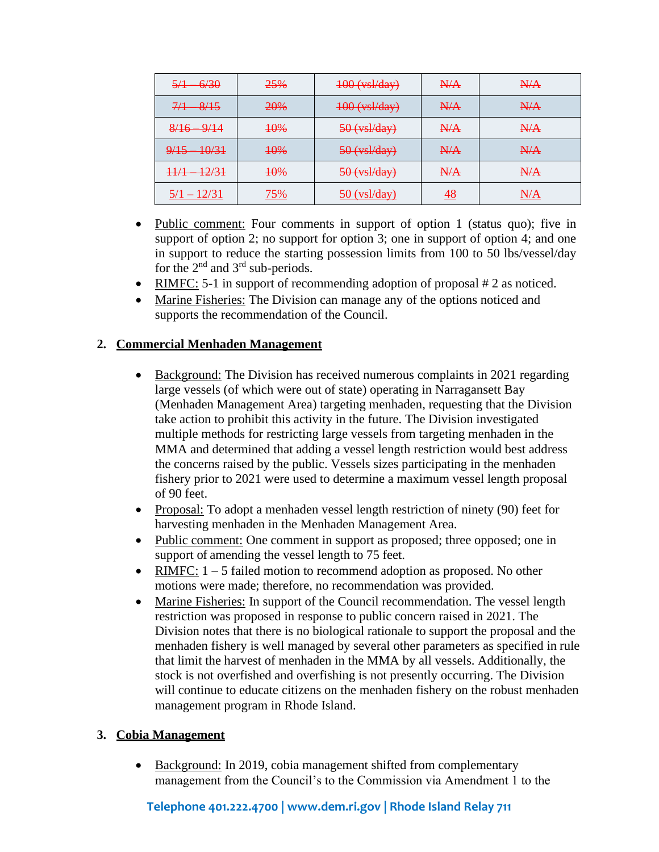| <del>6/30</del><br><del>5/1</del> | 25% | $400$ (vsl/day) | N/A             | H/A |
|-----------------------------------|-----|-----------------|-----------------|-----|
| -8/15<br>7/1                      | 20% | $400$ (vsl/day) | N/A             | H/A |
| $8/16$ $9/14$                     | 10% | $50$ (vsl/day)  | N/A             | H/A |
| $-10/31$<br>9/15                  | 10% | $50$ (vsl/day)  | N/A             | H/A |
| 12/31<br>11/1<br>$^{++}$          | 10% | $50$ (vsl/day)  | N/A             | H/A |
| $5/1 - 12/31$                     | 75% | $50$ (vsl/day)  | $\overline{48}$ | N/A |

- Public comment: Four comments in support of option 1 (status quo); five in support of option 2; no support for option 3; one in support of option 4; and one in support to reduce the starting possession limits from 100 to 50 lbs/vessel/day for the  $2<sup>nd</sup>$  and  $3<sup>rd</sup>$  sub-periods.
- RIMFC: 5-1 in support of recommending adoption of proposal  $#2$  as noticed.
- Marine Fisheries: The Division can manage any of the options noticed and supports the recommendation of the Council.

### **2. Commercial Menhaden Management**

- Background: The Division has received numerous complaints in 2021 regarding large vessels (of which were out of state) operating in Narragansett Bay (Menhaden Management Area) targeting menhaden, requesting that the Division take action to prohibit this activity in the future. The Division investigated multiple methods for restricting large vessels from targeting menhaden in the MMA and determined that adding a vessel length restriction would best address the concerns raised by the public. Vessels sizes participating in the menhaden fishery prior to 2021 were used to determine a maximum vessel length proposal of 90 feet.
- Proposal: To adopt a menhaden vessel length restriction of ninety (90) feet for harvesting menhaden in the Menhaden Management Area.
- Public comment: One comment in support as proposed; three opposed; one in support of amending the vessel length to 75 feet.
- RIMFC:  $1 5$  failed motion to recommend adoption as proposed. No other motions were made; therefore, no recommendation was provided.
- Marine Fisheries: In support of the Council recommendation. The vessel length restriction was proposed in response to public concern raised in 2021. The Division notes that there is no biological rationale to support the proposal and the menhaden fishery is well managed by several other parameters as specified in rule that limit the harvest of menhaden in the MMA by all vessels. Additionally, the stock is not overfished and overfishing is not presently occurring. The Division will continue to educate citizens on the menhaden fishery on the robust menhaden management program in Rhode Island.

### **3. Cobia Management**

• Background: In 2019, cobia management shifted from complementary management from the Council's to the Commission via Amendment 1 to the

### **Telephone 401.222.4700 [| www.dem.ri.gov |](http://www.dem.ri.gov/) Rhode Island Relay 711**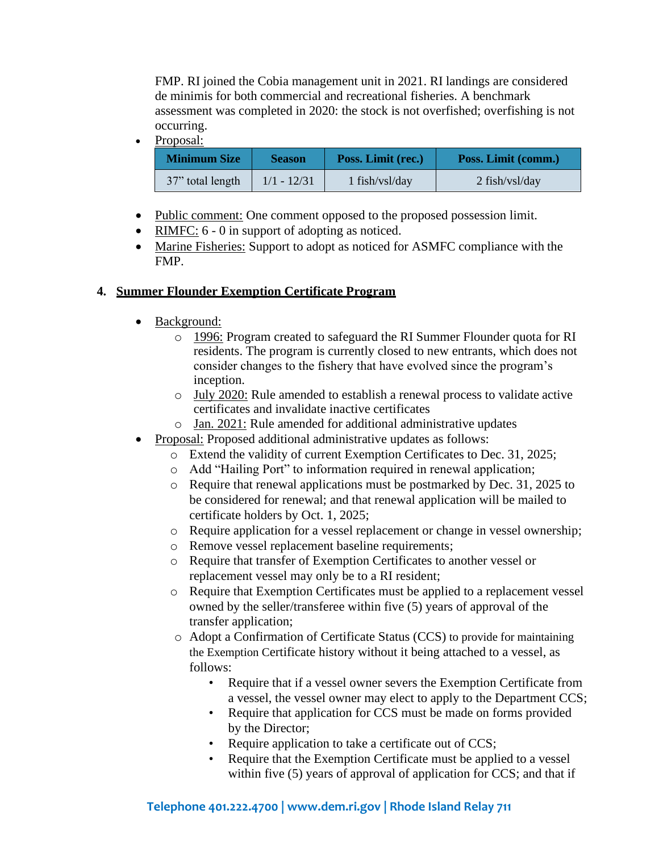FMP. RI joined the Cobia management unit in 2021. RI landings are considered de minimis for both commercial and recreational fisheries. A benchmark assessment was completed in 2020: the stock is not overfished; overfishing is not occurring.

• Proposal:

| <b>Minimum Size</b> | <b>Season</b> | Poss. Limit (rec.) | Poss. Limit (comm.) |
|---------------------|---------------|--------------------|---------------------|
| 37" total length    | $1/1 - 12/31$ | $1$ fish/vsl/day   | $2$ fish/vsl/day    |

- Public comment: One comment opposed to the proposed possession limit.
- RIMFC:  $6 0$  in support of adopting as noticed.
- Marine Fisheries: Support to adopt as noticed for ASMFC compliance with the FMP.

#### **4. Summer Flounder Exemption Certificate Program**

- Background:
	- o 1996: Program created to safeguard the RI Summer Flounder quota for RI residents. The program is currently closed to new entrants, which does not consider changes to the fishery that have evolved since the program's inception.
	- o July 2020: Rule amended to establish a renewal process to validate active certificates and invalidate inactive certificates
	- o Jan. 2021: Rule amended for additional administrative updates
- Proposal: Proposed additional administrative updates as follows:
	- o Extend the validity of current Exemption Certificates to Dec. 31, 2025;
	- o Add "Hailing Port" to information required in renewal application;
	- o Require that renewal applications must be postmarked by Dec. 31, 2025 to be considered for renewal; and that renewal application will be mailed to certificate holders by Oct. 1, 2025;
	- o Require application for a vessel replacement or change in vessel ownership;
	- o Remove vessel replacement baseline requirements;
	- o Require that transfer of Exemption Certificates to another vessel or replacement vessel may only be to a RI resident;
	- o Require that Exemption Certificates must be applied to a replacement vessel owned by the seller/transferee within five (5) years of approval of the transfer application;
	- o Adopt a Confirmation of Certificate Status (CCS) to provide for maintaining the Exemption Certificate history without it being attached to a vessel, as follows:
		- Require that if a vessel owner severs the Exemption Certificate from a vessel, the vessel owner may elect to apply to the Department CCS;
		- Require that application for CCS must be made on forms provided by the Director;
		- Require application to take a certificate out of CCS;
		- Require that the Exemption Certificate must be applied to a vessel within five (5) years of approval of application for CCS; and that if

### **Telephone 401.222.4700 [| www.dem.ri.gov |](http://www.dem.ri.gov/) Rhode Island Relay 711**